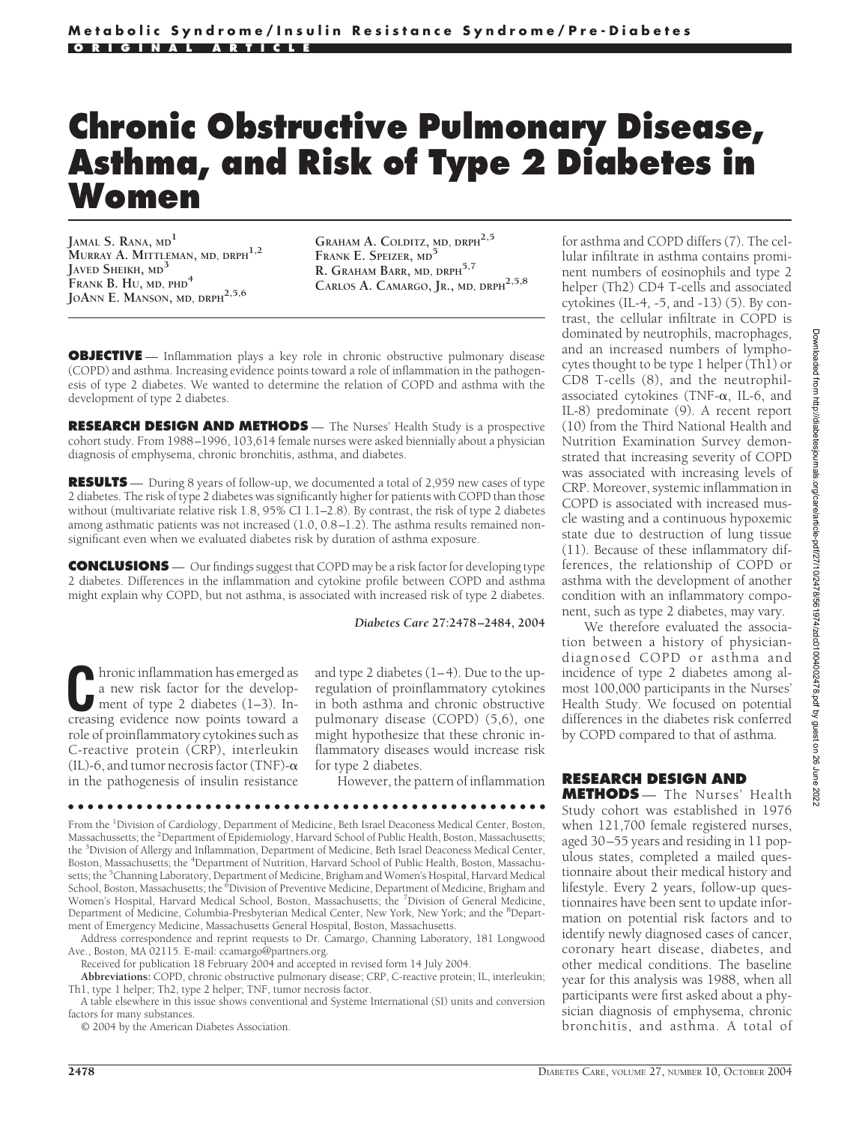# **Chronic Obstructive Pulmonary Disease, Asthma, and Risk of Type 2 Diabetes in Women**

**JAMAL S. RANA, MD<sup>1</sup> MURRAY A. MITTLEMAN, MD, DRPH1,2 JAVED SHEIKH, MD<sup>3</sup> FRANK B. HU, MD, PHD<sup>4</sup> JOANN E. MANSON, MD, DRPH2,5,6**

**GRAHAM A. COLDITZ, MD, DRPH2,5 FRANK E. SPEIZER, MD<sup>5</sup>** R. GRAHAM BARR, MD, DRPH<sup>5,7</sup> **CARLOS A. CAMARGO, JR., MD, DRPH2,5,8**

**OBJECTIVE** — Inflammation plays a key role in chronic obstructive pulmonary disease (COPD) and asthma. Increasing evidence points toward a role of inflammation in the pathogenesis of type 2 diabetes. We wanted to determine the relation of COPD and asthma with the development of type 2 diabetes.

**RESEARCH DESIGN AND METHODS** - The Nurses' Health Study is a prospective cohort study. From 1988–1996, 103,614 female nurses were asked biennially about a physician diagnosis of emphysema, chronic bronchitis, asthma, and diabetes.

**RESULTS** — During 8 years of follow-up, we documented a total of 2,959 new cases of type 2 diabetes. The risk of type 2 diabetes was significantly higher for patients with COPD than those without (multivariate relative risk 1.8, 95% CI 1.1–2.8). By contrast, the risk of type 2 diabetes among asthmatic patients was not increased (1.0, 0.8–1.2). The asthma results remained nonsignificant even when we evaluated diabetes risk by duration of asthma exposure.

**CONCLUSIONS** — Our findings suggest that COPD may be a risk factor for developing type 2 diabetes. Differences in the inflammation and cytokine profile between COPD and asthma might explain why COPD, but not asthma, is associated with increased risk of type 2 diabetes.

#### *Diabetes Care* **27:2478–2484, 2004**

**C**hronic inflammation has emerged as a new risk factor for the development of type 2 diabetes (1–3). Increasing evidence now points toward a role of proinflammatory cytokines such as C-reactive protein (CRP), interleukin (IL)-6, and tumor necrosis factor (TNF)- $\alpha$ in the pathogenesis of insulin resistance

and type 2 diabetes (1–4). Due to the upregulation of proinflammatory cytokines in both asthma and chronic obstructive pulmonary disease (COPD) (5,6), one might hypothesize that these chronic inflammatory diseases would increase risk for type 2 diabetes.

However, the pattern of inflammation

#### ●●●●●●●●●●●●●●●●●●●●●●●●●●●●●●●●●●●●●●●●●●●●●●●●●

From the <sup>1</sup>Division of Cardiology, Department of Medicine, Beth Israel Deaconess Medical Center, Boston, Massachussetts; the <sup>2</sup>Department of Epidemiology, Harvard School of Public Health, Boston, Massachusetts; the <sup>3</sup> Division of Allergy and Inflammation, Department of Medicine, Beth Israel Deaconess Medical Center, Boston, Massachusetts; the <sup>4</sup>Department of Nutrition, Harvard School of Public Health, Boston, Massachusetts; the <sup>5</sup>Channing Laboratory, Department of Medicine, Brigham and Women's Hospital, Harvard Medical School, Boston, Massachusetts; the <sup>6</sup>Division of Preventive Medicine, Department of Medicine, Brigham and Women's Hospital, Harvard Medical School, Boston, Massachusetts; the <sup>7</sup> Division of General Medicine, Department of Medicine, Columbia-Presbyterian Medical Center, New York, New York; and the <sup>8</sup>Department of Emergency Medicine, Massachusetts General Hospital, Boston, Massachusetts.

Address correspondence and reprint requests to Dr. Camargo, Channing Laboratory, 181 Longwood Ave., Boston, MA 02115. E-mail: ccamargo@partners.org.

Received for publication 18 February 2004 and accepted in revised form 14 July 2004.

**Abbreviations:** COPD, chronic obstructive pulmonary disease; CRP, C-reactive protein; IL, interleukin; Th1, type 1 helper; Th2, type 2 helper; TNF, tumor necrosis factor.

A table elsewhere in this issue shows conventional and Système International (SI) units and conversion factors for many substances.

© 2004 by the American Diabetes Association.

for asthma and COPD differs (7). The cellular infiltrate in asthma contains prominent numbers of eosinophils and type 2 helper (Th2) CD4 T-cells and associated cytokines (IL-4, -5, and -13) (5). By contrast, the cellular infiltrate in COPD is dominated by neutrophils, macrophages, and an increased numbers of lymphocytes thought to be type 1 helper (Th1) or CD8 T-cells (8), and the neutrophilassociated cytokines (TNF- $\alpha$ , IL-6, and IL-8) predominate (9). A recent report (10) from the Third National Health and Nutrition Examination Survey demonstrated that increasing severity of COPD was associated with increasing levels of CRP. Moreover, systemic inflammation in COPD is associated with increased muscle wasting and a continuous hypoxemic state due to destruction of lung tissue (11). Because of these inflammatory differences, the relationship of COPD or asthma with the development of another condition with an inflammatory component, such as type 2 diabetes, may vary.

We therefore evaluated the association between a history of physiciandiagnosed COPD or asthma and incidence of type 2 diabetes among almost 100,000 participants in the Nurses' Health Study. We focused on potential differences in the diabetes risk conferred by COPD compared to that of asthma.

## **RESEARCH DESIGN AND**

**METHODS** — The Nurses' Health Study cohort was established in 1976 when 121,700 female registered nurses, aged 30–55 years and residing in 11 populous states, completed a mailed questionnaire about their medical history and lifestyle. Every 2 years, follow-up questionnaires have been sent to update information on potential risk factors and to identify newly diagnosed cases of cancer, coronary heart disease, diabetes, and other medical conditions. The baseline year for this analysis was 1988, when all participants were first asked about a physician diagnosis of emphysema, chronic bronchitis, and asthma. A total of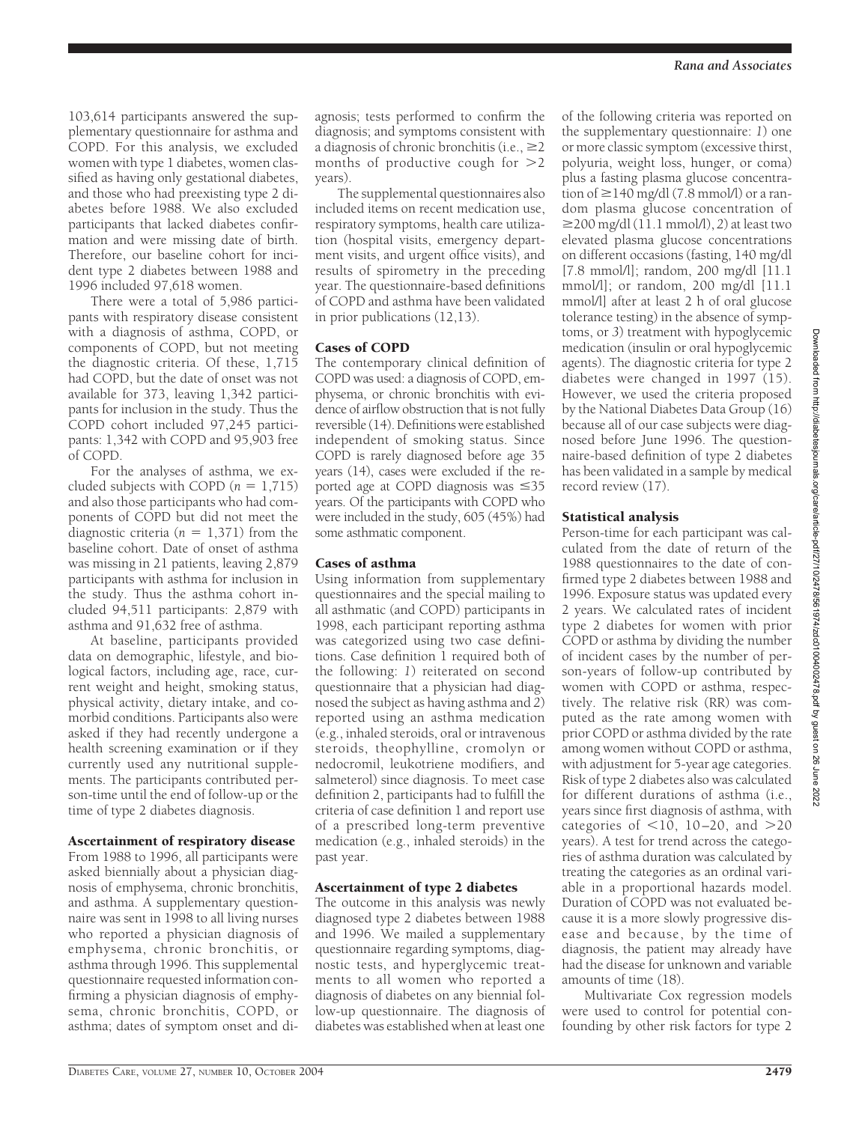103,614 participants answered the supplementary questionnaire for asthma and COPD. For this analysis, we excluded women with type 1 diabetes, women classified as having only gestational diabetes, and those who had preexisting type 2 diabetes before 1988. We also excluded participants that lacked diabetes confirmation and were missing date of birth. Therefore, our baseline cohort for incident type 2 diabetes between 1988 and 1996 included 97,618 women.

There were a total of 5,986 participants with respiratory disease consistent with a diagnosis of asthma, COPD, or components of COPD, but not meeting the diagnostic criteria. Of these, 1,715 had COPD, but the date of onset was not available for 373, leaving 1,342 participants for inclusion in the study. Thus the COPD cohort included 97,245 participants: 1,342 with COPD and 95,903 free of COPD.

For the analyses of asthma, we excluded subjects with COPD  $(n = 1,715)$ and also those participants who had components of COPD but did not meet the diagnostic criteria  $(n = 1,371)$  from the baseline cohort. Date of onset of asthma was missing in 21 patients, leaving 2,879 participants with asthma for inclusion in the study. Thus the asthma cohort included 94,511 participants: 2,879 with asthma and 91,632 free of asthma.

At baseline, participants provided data on demographic, lifestyle, and biological factors, including age, race, current weight and height, smoking status, physical activity, dietary intake, and comorbid conditions. Participants also were asked if they had recently undergone a health screening examination or if they currently used any nutritional supplements. The participants contributed person-time until the end of follow-up or the time of type 2 diabetes diagnosis.

#### Ascertainment of respiratory disease

From 1988 to 1996, all participants were asked biennially about a physician diagnosis of emphysema, chronic bronchitis, and asthma. A supplementary questionnaire was sent in 1998 to all living nurses who reported a physician diagnosis of emphysema, chronic bronchitis, or asthma through 1996. This supplemental questionnaire requested information confirming a physician diagnosis of emphysema, chronic bronchitis, COPD, or asthma; dates of symptom onset and di-

agnosis; tests performed to confirm the diagnosis; and symptoms consistent with a diagnosis of chronic bronchitis (i.e.,  $\geq$ 2 months of productive cough for  $>2$ years).

The supplemental questionnaires also included items on recent medication use, respiratory symptoms, health care utilization (hospital visits, emergency department visits, and urgent office visits), and results of spirometry in the preceding year. The questionnaire-based definitions of COPD and asthma have been validated in prior publications (12,13).

# Cases of COPD

The contemporary clinical definition of COPD was used: a diagnosis of COPD, emphysema, or chronic bronchitis with evidence of airflow obstruction that is not fully reversible (14). Definitions were established independent of smoking status. Since COPD is rarely diagnosed before age 35 years (14), cases were excluded if the reported age at COPD diagnosis was  $\leq 35$ years. Of the participants with COPD who were included in the study, 605 (45%) had some asthmatic component.

## Cases of asthma

Using information from supplementary questionnaires and the special mailing to all asthmatic (and COPD) participants in 1998, each participant reporting asthma was categorized using two case definitions. Case definition 1 required both of the following: *1*) reiterated on second questionnaire that a physician had diagnosed the subject as having asthma and *2*) reported using an asthma medication (e.g., inhaled steroids, oral or intravenous steroids, theophylline, cromolyn or nedocromil, leukotriene modifiers, and salmeterol) since diagnosis. To meet case definition 2, participants had to fulfill the criteria of case definition 1 and report use of a prescribed long-term preventive medication (e.g., inhaled steroids) in the past year.

# Ascertainment of type 2 diabetes

The outcome in this analysis was newly diagnosed type 2 diabetes between 1988 and 1996. We mailed a supplementary questionnaire regarding symptoms, diagnostic tests, and hyperglycemic treatments to all women who reported a diagnosis of diabetes on any biennial follow-up questionnaire. The diagnosis of diabetes was established when at least one

of the following criteria was reported on the supplementary questionnaire: *1*) one or more classic symptom (excessive thirst, polyuria, weight loss, hunger, or coma) plus a fasting plasma glucose concentration of  $\geq$ 140 mg/dl (7.8 mmol/l) or a random plasma glucose concentration of  $\geq$ 200 mg/dl (11.1 mmol/l), 2) at least two elevated plasma glucose concentrations on different occasions (fasting, 140 mg/dl [7.8 mmol/l]; random, 200 mg/dl [11.1 mmol/l]; or random, 200 mg/dl [11.1 mmol/l] after at least 2 h of oral glucose tolerance testing) in the absence of symptoms, or *3*) treatment with hypoglycemic medication (insulin or oral hypoglycemic agents). The diagnostic criteria for type 2 diabetes were changed in 1997 (15). However, we used the criteria proposed by the National Diabetes Data Group (16) because all of our case subjects were diagnosed before June 1996. The questionnaire-based definition of type 2 diabetes has been validated in a sample by medical record review (17).

# Statistical analysis

Person-time for each participant was calculated from the date of return of the 1988 questionnaires to the date of confirmed type 2 diabetes between 1988 and 1996. Exposure status was updated every 2 years. We calculated rates of incident type 2 diabetes for women with prior COPD or asthma by dividing the number of incident cases by the number of person-years of follow-up contributed by women with COPD or asthma, respectively. The relative risk (RR) was computed as the rate among women with prior COPD or asthma divided by the rate among women without COPD or asthma, with adjustment for 5-year age categories. Risk of type 2 diabetes also was calculated for different durations of asthma (i.e., years since first diagnosis of asthma, with categories of  $\langle 10, 10 - 20,$  and  $> 20$ years). A test for trend across the categories of asthma duration was calculated by treating the categories as an ordinal variable in a proportional hazards model. Duration of COPD was not evaluated because it is a more slowly progressive disease and because, by the time of diagnosis, the patient may already have had the disease for unknown and variable amounts of time (18).

Multivariate Cox regression models were used to control for potential confounding by other risk factors for type 2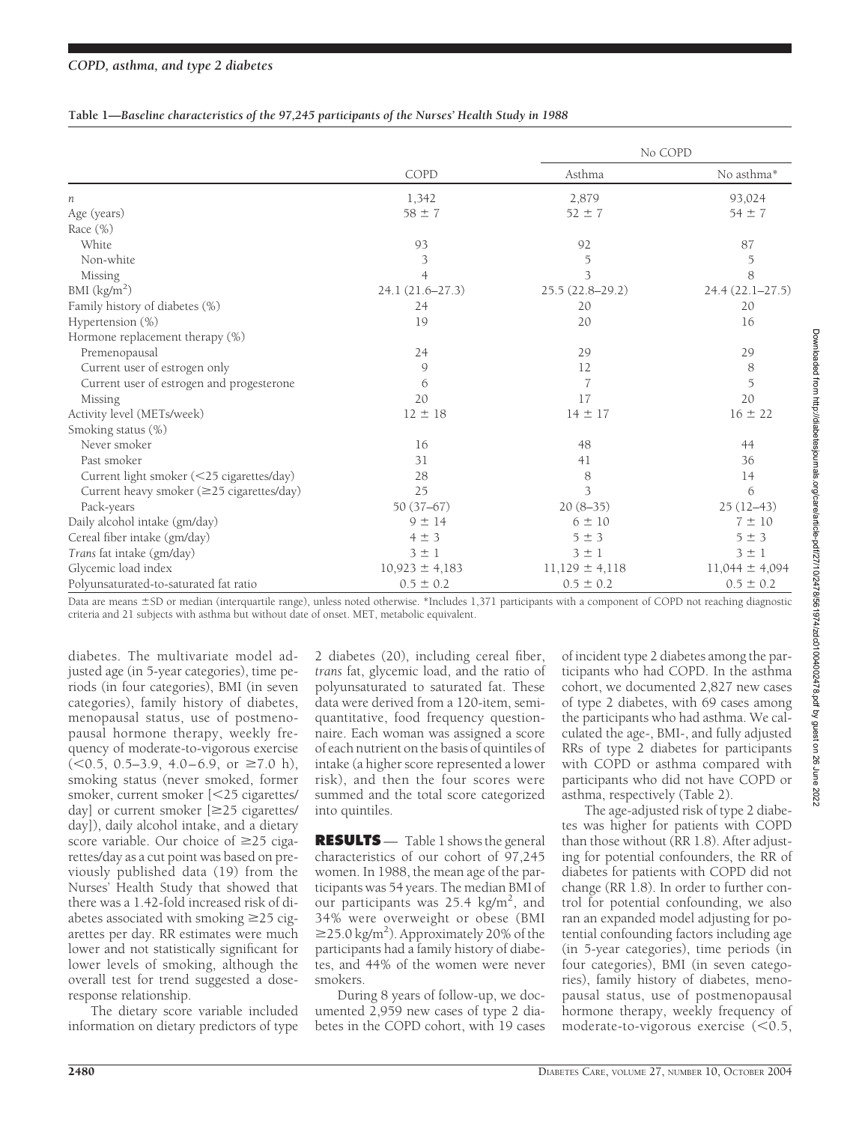#### **Table 1—***Baseline characteristics of the 97,245 participants of the Nurses' Health Study in 1988*

|                                           | COPD               | No COPD            |                    |
|-------------------------------------------|--------------------|--------------------|--------------------|
|                                           |                    | Asthma             | No asthma*         |
| п                                         | 1,342              | 2,879              | 93,024             |
| Age (years)                               | $58 \pm 7$         | $52 \pm 7$         | $54 \pm 7$         |
| Race (%)                                  |                    |                    |                    |
| White                                     | 93                 | 92                 | 87                 |
| Non-white                                 | 3                  | $\mathfrak I$      | $\mathfrak I$      |
| Missing                                   | $\overline{4}$     | 3                  | 8                  |
| BMI $(kg/m2)$                             | 24.1 (21.6-27.3)   | 25.5 (22.8-29.2)   | 24.4 (22.1-27.5)   |
| Family history of diabetes (%)            | 24                 | 20                 | 20                 |
| Hypertension $(\%)$                       | 19                 | 20                 | 16                 |
| Hormone replacement therapy (%)           |                    |                    |                    |
| Premenopausal                             | 24                 | 29                 | 29                 |
| Current user of estrogen only             | 9                  | 12                 | 8                  |
| Current user of estrogen and progesterone | 6                  | 7                  | 5                  |
| Missing                                   | 20                 | 17                 | 20                 |
| Activity level (METs/week)                | $12 \pm 18$        | $14 \pm 17$        | $16 \pm 22$        |
| Smoking status (%)                        |                    |                    |                    |
| Never smoker                              | 16                 | 48                 | 44                 |
| Past smoker                               | 31                 | 41                 | 36                 |
| Current light smoker (<25 cigarettes/day) | 28                 | 8                  | 14                 |
| Current heavy smoker (≥25 cigarettes/day) | 25                 | 3                  | 6                  |
| Pack-years                                | $50(37-67)$        | $20(8-35)$         | $25(12-43)$        |
| Daily alcohol intake (gm/day)             | $9 \pm 14$         | $6 \pm 10$         | $7 \pm 10$         |
| Cereal fiber intake (gm/day)              | $4 \pm 3$          | 5±3                | $5 \pm 3$          |
| Trans fat intake (gm/day)                 | $3 \pm 1$          | $3 \pm 1$          | $3 \pm 1$          |
| Glycemic load index                       | $10,923 \pm 4,183$ | $11,129 \pm 4,118$ | $11,044 \pm 4,094$ |
| Polyunsaturated-to-saturated fat ratio    | $0.5 \pm 0.2$      | $0.5 \pm 0.2$      | $0.5 \pm 0.2$      |

Data are means ±SD or median (interquartile range), unless noted otherwise. \*Includes 1,371 participants with a component of COPD not reaching diagnostic criteria and 21 subjects with asthma but without date of onset. MET, metabolic equivalent.

diabetes. The multivariate model adjusted age (in 5-year categories), time periods (in four categories), BMI (in seven categories), family history of diabetes, menopausal status, use of postmenopausal hormone therapy, weekly frequency of moderate-to-vigorous exercise  $(<0.5, 0.5-3.9, 4.0-6.9, or \ge 7.0 \text{ h}),$ smoking status (never smoked, former smoker, current smoker [25 cigarettes/ day] or current smoker  $\geq 25$  cigarettes/ day]), daily alcohol intake, and a dietary score variable. Our choice of  $\geq$ 25 cigarettes/day as a cut point was based on previously published data (19) from the Nurses' Health Study that showed that there was a 1.42-fold increased risk of diabetes associated with smoking  $\geq$ 25 cigarettes per day. RR estimates were much lower and not statistically significant for lower levels of smoking, although the overall test for trend suggested a doseresponse relationship.

The dietary score variable included information on dietary predictors of type

2 diabetes (20), including cereal fiber, *trans* fat, glycemic load, and the ratio of polyunsaturated to saturated fat. These data were derived from a 120-item, semiquantitative, food frequency questionnaire. Each woman was assigned a score of each nutrient on the basis of quintiles of intake (a higher score represented a lower risk), and then the four scores were summed and the total score categorized into quintiles.

**RESULTS** — Table 1 shows the general characteristics of our cohort of 97,245 women. In 1988, the mean age of the participants was 54 years. The median BMI of our participants was 25.4 kg/m<sup>2</sup>, and 34% were overweight or obese (BMI  $\geq$ 25.0 kg/m<sup>2</sup>). Approximately 20% of the participants had a family history of diabetes, and 44% of the women were never smokers.

During 8 years of follow-up, we documented 2,959 new cases of type 2 diabetes in the COPD cohort, with 19 cases

of incident type 2 diabetes among the participants who had COPD. In the asthma cohort, we documented 2,827 new cases of type 2 diabetes, with 69 cases among the participants who had asthma. We calculated the age-, BMI-, and fully adjusted RRs of type 2 diabetes for participants with COPD or asthma compared with participants who did not have COPD or asthma, respectively (Table 2).

The age-adjusted risk of type 2 diabetes was higher for patients with COPD than those without (RR 1.8). After adjusting for potential confounders, the RR of diabetes for patients with COPD did not change (RR 1.8). In order to further control for potential confounding, we also ran an expanded model adjusting for potential confounding factors including age (in 5-year categories), time periods (in four categories), BMI (in seven categories), family history of diabetes, menopausal status, use of postmenopausal hormone therapy, weekly frequency of moderate-to-vigorous exercise  $(< 0.5,$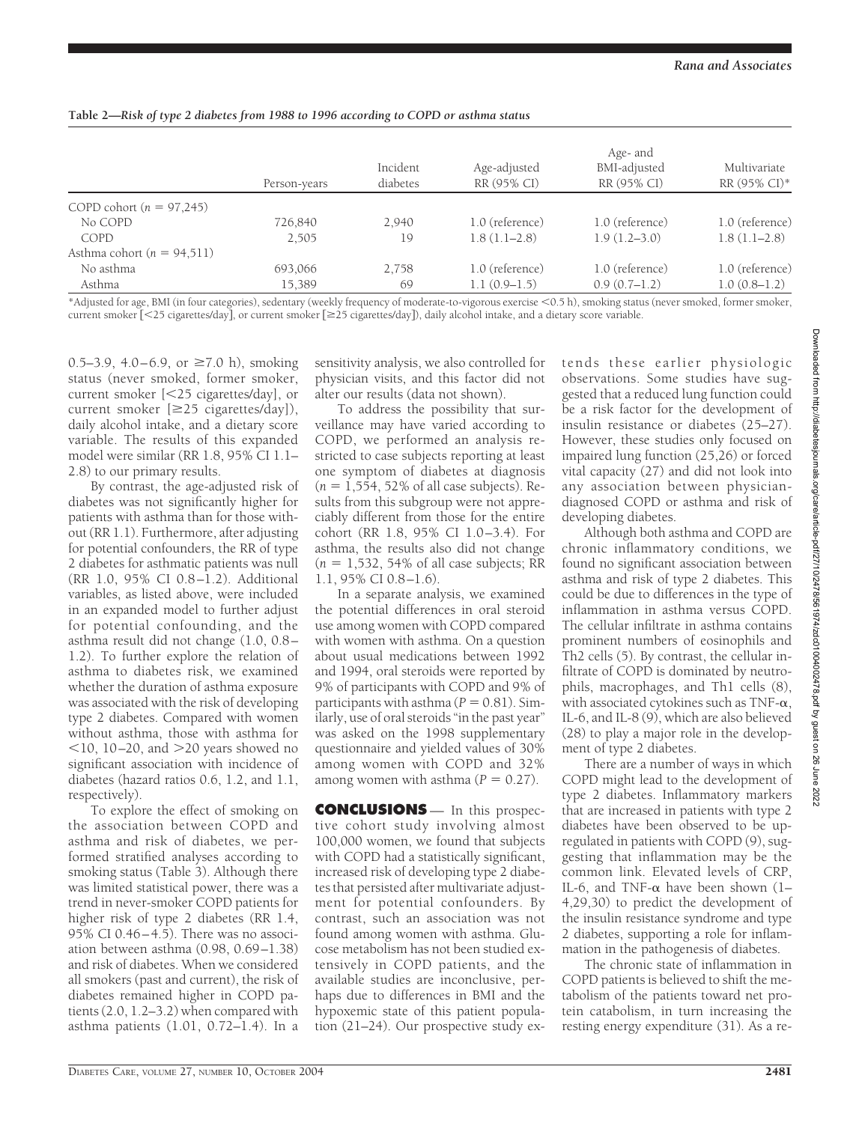|                                | Person-years | Incident<br>diabetes | Age-adjusted<br>RR (95% CI) | Age- and<br>BMI-adjusted<br>RR (95% CI) | Multivariate<br>RR (95% CI)* |
|--------------------------------|--------------|----------------------|-----------------------------|-----------------------------------------|------------------------------|
| COPD cohort $(n = 97,245)$     |              |                      |                             |                                         |                              |
| No COPD                        | 726,840      | 2,940                | 1.0 (reference)             | 1.0 (reference)                         | 1.0 (reference)              |
| COPD                           | 2,505        | 19                   | $1.8(1.1-2.8)$              | $1.9(1.2-3.0)$                          | $1.8(1.1-2.8)$               |
| Asthma cohort ( $n = 94,511$ ) |              |                      |                             |                                         |                              |
| No asthma                      | 693,066      | 2,758                | 1.0 (reference)             | 1.0 (reference)                         | 1.0 (reference)              |
| Asthma                         | 15,389       | 69                   | $1.1(0.9-1.5)$              | $0.9(0.7-1.2)$                          | $1.0(0.8-1.2)$               |

#### **Table 2—***Risk of type 2 diabetes from 1988 to 1996 according to COPD or asthma status*

\*Adjusted for age, BMI (in four categories), sedentary (weekly frequency of moderate-to-vigorous exercise 0.5 h), smoking status (never smoked, former smoker, current smoker [<25 cigarettes/day], or current smoker [≥25 cigarettes/day]), daily alcohol intake, and a dietary score variable.

0.5–3.9, 4.0–6.9, or  $\geq 7.0$  h), smoking status (never smoked, former smoker, current smoker [25 cigarettes/day], or current smoker  $[\geq 25$  cigarettes/day]), daily alcohol intake, and a dietary score variable. The results of this expanded model were similar (RR 1.8, 95% CI 1.1– 2.8) to our primary results.

By contrast, the age-adjusted risk of diabetes was not significantly higher for patients with asthma than for those without (RR 1.1). Furthermore, after adjusting for potential confounders, the RR of type 2 diabetes for asthmatic patients was null (RR 1.0, 95% CI 0.8 –1.2). Additional variables, as listed above, were included in an expanded model to further adjust for potential confounding, and the asthma result did not change (1.0, 0.8– 1.2). To further explore the relation of asthma to diabetes risk, we examined whether the duration of asthma exposure was associated with the risk of developing type 2 diabetes. Compared with women without asthma, those with asthma for  $10$ , 10–20, and  $>$ 20 years showed no significant association with incidence of diabetes (hazard ratios 0.6, 1.2, and 1.1, respectively).

To explore the effect of smoking on the association between COPD and asthma and risk of diabetes, we performed stratified analyses according to smoking status (Table 3). Although there was limited statistical power, there was a trend in never-smoker COPD patients for higher risk of type 2 diabetes (RR 1.4, 95% CI 0.46–4.5). There was no association between asthma (0.98, 0.69–1.38) and risk of diabetes. When we considered all smokers (past and current), the risk of diabetes remained higher in COPD patients (2.0, 1.2–3.2) when compared with asthma patients (1.01, 0.72–1.4). In a sensitivity analysis, we also controlled for physician visits, and this factor did not alter our results (data not shown).

To address the possibility that surveillance may have varied according to COPD, we performed an analysis restricted to case subjects reporting at least one symptom of diabetes at diagnosis  $(n = 1, 554, 52\%)$  of all case subjects). Results from this subgroup were not appreciably different from those for the entire cohort (RR 1.8, 95% CI 1.0–3.4). For asthma, the results also did not change  $(n = 1,532, 54\%)$  of all case subjects; RR 1.1, 95% CI 0.8–1.6).

In a separate analysis, we examined the potential differences in oral steroid use among women with COPD compared with women with asthma. On a question about usual medications between 1992 and 1994, oral steroids were reported by 9% of participants with COPD and 9% of participants with asthma  $(P = 0.81)$ . Similarly, use of oral steroids "in the past year" was asked on the 1998 supplementary questionnaire and yielded values of 30% among women with COPD and 32% among women with asthma  $(P = 0.27)$ .

**CONCLUSIONS** — In this prospective cohort study involving almost 100,000 women, we found that subjects with COPD had a statistically significant, increased risk of developing type 2 diabetes that persisted after multivariate adjustment for potential confounders. By contrast, such an association was not found among women with asthma. Glucose metabolism has not been studied extensively in COPD patients, and the available studies are inconclusive, perhaps due to differences in BMI and the hypoxemic state of this patient population (21–24). Our prospective study extends these earlier physiologic observations. Some studies have suggested that a reduced lung function could be a risk factor for the development of insulin resistance or diabetes (25–27). However, these studies only focused on impaired lung function (25,26) or forced vital capacity (27) and did not look into any association between physiciandiagnosed COPD or asthma and risk of developing diabetes.

Although both asthma and COPD are chronic inflammatory conditions, we found no significant association between asthma and risk of type 2 diabetes. This could be due to differences in the type of inflammation in asthma versus COPD. The cellular infiltrate in asthma contains prominent numbers of eosinophils and Th2 cells (5). By contrast, the cellular infiltrate of COPD is dominated by neutrophils, macrophages, and Th1 cells (8), with associated cytokines such as TNF- $\alpha$ , IL-6, and IL-8 (9), which are also believed (28) to play a major role in the development of type 2 diabetes.

There are a number of ways in which COPD might lead to the development of type 2 diabetes. Inflammatory markers that are increased in patients with type 2 diabetes have been observed to be upregulated in patients with COPD (9), suggesting that inflammation may be the common link. Elevated levels of CRP, IL-6, and TNF- $\alpha$  have been shown (1– 4,29,30) to predict the development of the insulin resistance syndrome and type 2 diabetes, supporting a role for inflammation in the pathogenesis of diabetes.

The chronic state of inflammation in COPD patients is believed to shift the metabolism of the patients toward net protein catabolism, in turn increasing the resting energy expenditure (31). As a re-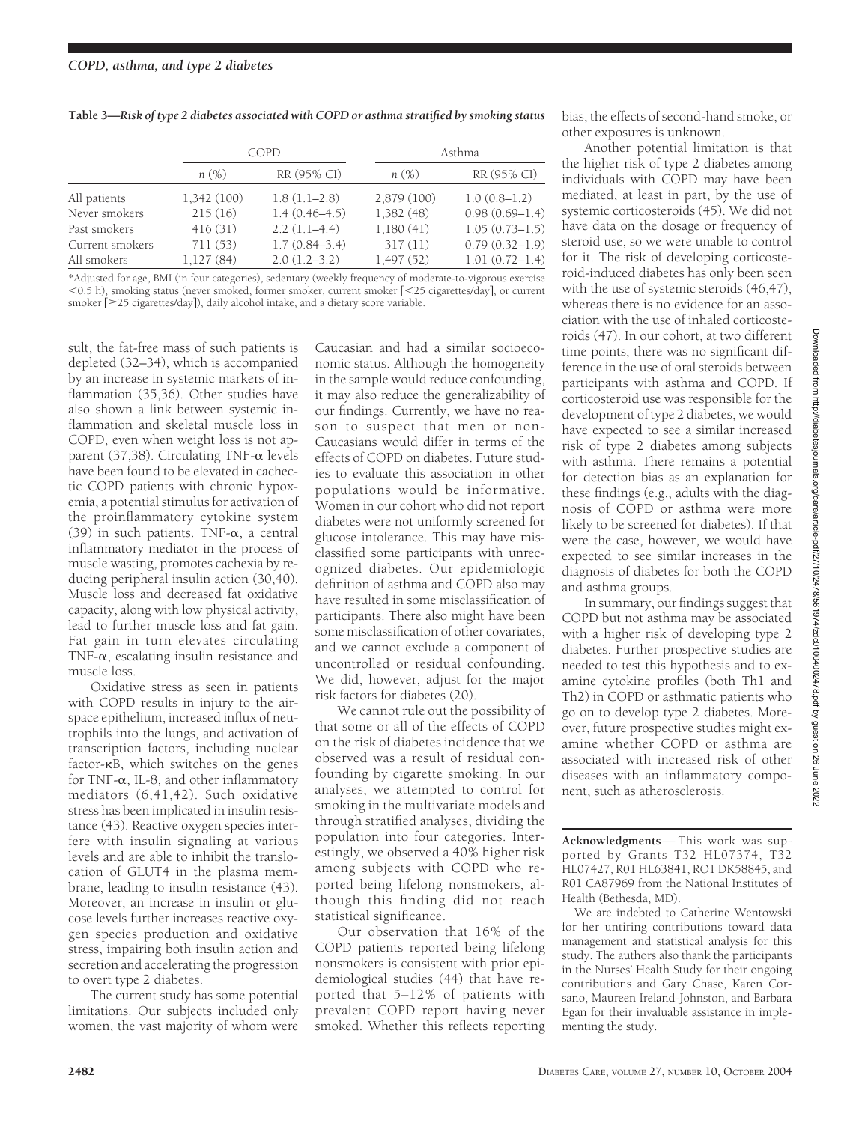| Table 3-Risk of type 2 diabetes associated with COPD or asthma stratified by smoking status |  |  |
|---------------------------------------------------------------------------------------------|--|--|
|---------------------------------------------------------------------------------------------|--|--|

|                 | COPD        |                   | Asthma      |                    |
|-----------------|-------------|-------------------|-------------|--------------------|
|                 | n(%)        | RR (95% CI)       | n(%)        | RR (95% CI)        |
| All patients    | 1,342 (100) | $1.8(1.1-2.8)$    | 2,879 (100) | $1.0(0.8-1.2)$     |
| Never smokers   | 215(16)     | $1.4(0.46-4.5)$   | 1,382(48)   | $0.98(0.69 - 1.4)$ |
| Past smokers    | 416(31)     | $2.2(1.1-4.4)$    | 1,180(41)   | $1.05(0.73 - 1.5)$ |
| Current smokers | 711(53)     | $1.7(0.84 - 3.4)$ | 317(11)     | $0.79(0.32 - 1.9)$ |
| All smokers     | 1,127(84)   | $2.0(1.2-3.2)$    | 1,497(52)   | $1.01(0.72 - 1.4)$ |

\*Adjusted for age, BMI (in four categories), sedentary (weekly frequency of moderate-to-vigorous exercise  $0.5$  h), smoking status (never smoked, former smoker, current smoker  $\sim 25$  cigarettes/day], or current smoker [ $\geq$ 25 cigarettes/day]), daily alcohol intake, and a dietary score variable.

sult, the fat-free mass of such patients is depleted (32–34), which is accompanied by an increase in systemic markers of inflammation (35,36). Other studies have also shown a link between systemic inflammation and skeletal muscle loss in COPD, even when weight loss is not apparent (37,38). Circulating TNF- $\alpha$  levels have been found to be elevated in cachectic COPD patients with chronic hypoxemia, a potential stimulus for activation of the proinflammatory cytokine system (39) in such patients. TNF- $\alpha$ , a central inflammatory mediator in the process of muscle wasting, promotes cachexia by reducing peripheral insulin action (30,40). Muscle loss and decreased fat oxidative capacity, along with low physical activity, lead to further muscle loss and fat gain. Fat gain in turn elevates circulating TNF- $\alpha$ , escalating insulin resistance and muscle loss.

Oxidative stress as seen in patients with COPD results in injury to the airspace epithelium, increased influx of neutrophils into the lungs, and activation of transcription factors, including nuclear factor- $\kappa$ B, which switches on the genes for TNF- $\alpha$ , IL-8, and other inflammatory mediators (6,41,42). Such oxidative stress has been implicated in insulin resistance (43). Reactive oxygen species interfere with insulin signaling at various levels and are able to inhibit the translocation of GLUT4 in the plasma membrane, leading to insulin resistance (43). Moreover, an increase in insulin or glucose levels further increases reactive oxygen species production and oxidative stress, impairing both insulin action and secretion and accelerating the progression to overt type 2 diabetes.

The current study has some potential limitations. Our subjects included only women, the vast majority of whom were

Caucasian and had a similar socioeconomic status. Although the homogeneity in the sample would reduce confounding, it may also reduce the generalizability of our findings. Currently, we have no reason to suspect that men or non-Caucasians would differ in terms of the effects of COPD on diabetes. Future studies to evaluate this association in other populations would be informative. Women in our cohort who did not report diabetes were not uniformly screened for glucose intolerance. This may have misclassified some participants with unrecognized diabetes. Our epidemiologic definition of asthma and COPD also may have resulted in some misclassification of participants. There also might have been some misclassification of other covariates, and we cannot exclude a component of uncontrolled or residual confounding. We did, however, adjust for the major risk factors for diabetes (20).

We cannot rule out the possibility of that some or all of the effects of COPD on the risk of diabetes incidence that we observed was a result of residual confounding by cigarette smoking. In our analyses, we attempted to control for smoking in the multivariate models and through stratified analyses, dividing the population into four categories. Interestingly, we observed a 40% higher risk among subjects with COPD who reported being lifelong nonsmokers, although this finding did not reach statistical significance.

Our observation that 16% of the COPD patients reported being lifelong nonsmokers is consistent with prior epidemiological studies (44) that have reported that 5–12% of patients with prevalent COPD report having never smoked. Whether this reflects reporting bias, the effects of second-hand smoke, or other exposures is unknown.

Another potential limitation is that the higher risk of type 2 diabetes among individuals with COPD may have been mediated, at least in part, by the use of systemic corticosteroids (45). We did not have data on the dosage or frequency of steroid use, so we were unable to control for it. The risk of developing corticosteroid-induced diabetes has only been seen with the use of systemic steroids (46,47), whereas there is no evidence for an association with the use of inhaled corticosteroids (47). In our cohort, at two different time points, there was no significant difference in the use of oral steroids between participants with asthma and COPD. If corticosteroid use was responsible for the development of type 2 diabetes, we would have expected to see a similar increased risk of type 2 diabetes among subjects with asthma. There remains a potential for detection bias as an explanation for these findings (e.g., adults with the diagnosis of COPD or asthma were more likely to be screened for diabetes). If that were the case, however, we would have expected to see similar increases in the diagnosis of diabetes for both the COPD and asthma groups.

In summary, our findings suggest that COPD but not asthma may be associated with a higher risk of developing type 2 diabetes. Further prospective studies are needed to test this hypothesis and to examine cytokine profiles (both Th1 and Th2) in COPD or asthmatic patients who go on to develop type 2 diabetes. Moreover, future prospective studies might examine whether COPD or asthma are associated with increased risk of other diseases with an inflammatory component, such as atherosclerosis.

**Acknowledgments**— This work was supported by Grants T32 HL07374, T32 HL07427, R01 HL63841, RO1 DK58845, and R01 CA87969 from the National Institutes of Health (Bethesda, MD).

We are indebted to Catherine Wentowski for her untiring contributions toward data management and statistical analysis for this study. The authors also thank the participants in the Nurses' Health Study for their ongoing contributions and Gary Chase, Karen Corsano, Maureen Ireland-Johnston, and Barbara Egan for their invaluable assistance in implementing the study.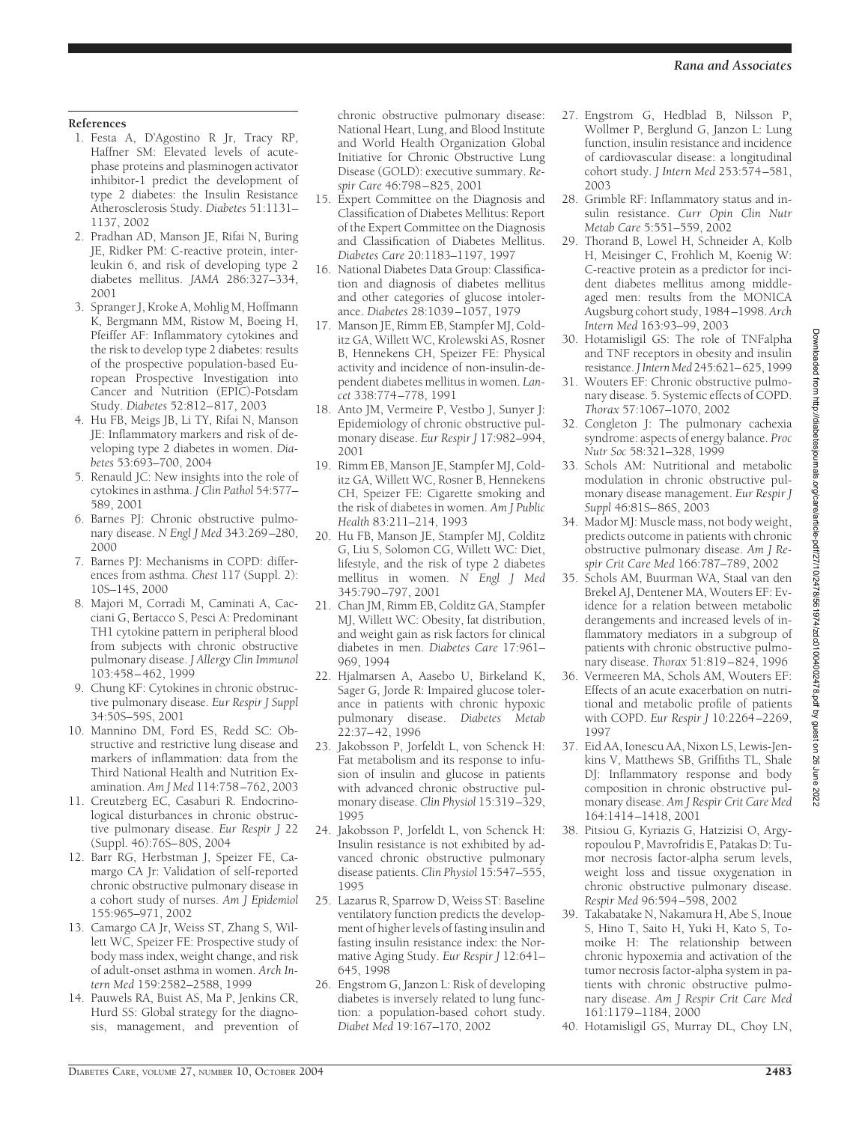### **References**

- 1. Festa A, D'Agostino R Jr, Tracy RP, Haffner SM: Elevated levels of acutephase proteins and plasminogen activator inhibitor-1 predict the development of type 2 diabetes: the Insulin Resistance Atherosclerosis Study. *Diabetes* 51:1131– 1137, 2002
- 2. Pradhan AD, Manson JE, Rifai N, Buring JE, Ridker PM: C-reactive protein, interleukin 6, and risk of developing type 2 diabetes mellitus. *JAMA* 286:327–334, 2001
- 3. Spranger J, Kroke A, Mohlig M, Hoffmann K, Bergmann MM, Ristow M, Boeing H, Pfeiffer AF: Inflammatory cytokines and the risk to develop type 2 diabetes: results of the prospective population-based European Prospective Investigation into Cancer and Nutrition (EPIC)-Potsdam Study. *Diabetes* 52:812–817, 2003
- 4. Hu FB, Meigs JB, Li TY, Rifai N, Manson JE: Inflammatory markers and risk of developing type 2 diabetes in women. *Diabetes* 53:693–700, 2004
- 5. Renauld JC: New insights into the role of cytokines in asthma. *J Clin Pathol* 54:577– 589, 2001
- 6. Barnes PJ: Chronic obstructive pulmonary disease. *N Engl J Med* 343:269–280, 2000
- 7. Barnes PJ: Mechanisms in COPD: differences from asthma. *Chest* 117 (Suppl. 2): 10S–14S, 2000
- 8. Majori M, Corradi M, Caminati A, Cacciani G, Bertacco S, Pesci A: Predominant TH1 cytokine pattern in peripheral blood from subjects with chronic obstructive pulmonary disease. *J Allergy Clin Immunol* 103:458–462, 1999
- 9. Chung KF: Cytokines in chronic obstructive pulmonary disease. *Eur Respir J Suppl* 34:50S–59S, 2001
- 10. Mannino DM, Ford ES, Redd SC: Obstructive and restrictive lung disease and markers of inflammation: data from the Third National Health and Nutrition Examination. *Am J Med* 114:758–762, 2003
- 11. Creutzberg EC, Casaburi R. Endocrinological disturbances in chronic obstructive pulmonary disease. *Eur Respir J* 22 (Suppl. 46):76S–80S, 2004
- 12. Barr RG, Herbstman J, Speizer FE, Camargo CA Jr: Validation of self-reported chronic obstructive pulmonary disease in a cohort study of nurses. *Am J Epidemiol* 155:965–971, 2002
- 13. Camargo CA Jr, Weiss ST, Zhang S, Willett WC, Speizer FE: Prospective study of body mass index, weight change, and risk of adult-onset asthma in women. *Arch Intern Med* 159:2582–2588, 1999
- 14. Pauwels RA, Buist AS, Ma P, Jenkins CR, Hurd SS: Global strategy for the diagnosis, management, and prevention of

chronic obstructive pulmonary disease: National Heart, Lung, and Blood Institute and World Health Organization Global Initiative for Chronic Obstructive Lung Disease (GOLD): executive summary. *Respir Care* 46:798–825, 2001

- 15. Expert Committee on the Diagnosis and Classification of Diabetes Mellitus: Report of the Expert Committee on the Diagnosis and Classification of Diabetes Mellitus. *Diabetes Care* 20:1183–1197, 1997
- 16. National Diabetes Data Group: Classification and diagnosis of diabetes mellitus and other categories of glucose intolerance. *Diabetes* 28:1039–1057, 1979
- 17. Manson JE, Rimm EB, Stampfer MJ, Colditz GA, Willett WC, Krolewski AS, Rosner B, Hennekens CH, Speizer FE: Physical activity and incidence of non-insulin-dependent diabetes mellitus in women. *Lancet* 338:774–778, 1991
- 18. Anto JM, Vermeire P, Vestbo J, Sunyer J: Epidemiology of chronic obstructive pulmonary disease. *Eur Respir J* 17:982–994, 2001
- 19. Rimm EB, Manson JE, Stampfer MJ, Colditz GA, Willett WC, Rosner B, Hennekens CH, Speizer FE: Cigarette smoking and the risk of diabetes in women. *Am J Public Health* 83:211–214, 1993
- 20. Hu FB, Manson JE, Stampfer MJ, Colditz G, Liu S, Solomon CG, Willett WC: Diet, lifestyle, and the risk of type 2 diabetes mellitus in women. *N Engl J Med* 345:790–797, 2001
- 21. Chan JM, Rimm EB, Colditz GA, Stampfer MJ, Willett WC: Obesity, fat distribution, and weight gain as risk factors for clinical diabetes in men. *Diabetes Care* 17:961– 969, 1994
- 22. Hjalmarsen A, Aasebo U, Birkeland K, Sager G, Jorde R: Impaired glucose tolerance in patients with chronic hypoxic pulmonary disease. *Diabetes Metab* 22:37–42, 1996
- 23. Jakobsson P, Jorfeldt L, von Schenck H: Fat metabolism and its response to infusion of insulin and glucose in patients with advanced chronic obstructive pulmonary disease. *Clin Physiol* 15:319–329, 1995
- 24. Jakobsson P, Jorfeldt L, von Schenck H: Insulin resistance is not exhibited by advanced chronic obstructive pulmonary disease patients. *Clin Physiol* 15:547–555, 1995
- 25. Lazarus R, Sparrow D, Weiss ST: Baseline ventilatory function predicts the development of higher levels of fasting insulin and fasting insulin resistance index: the Normative Aging Study. *Eur Respir J* 12:641– 645, 1998
- 26. Engstrom G, Janzon L: Risk of developing diabetes is inversely related to lung function: a population-based cohort study. *Diabet Med* 19:167–170, 2002
- 27. Engstrom G, Hedblad B, Nilsson P, Wollmer P, Berglund G, Janzon L: Lung function, insulin resistance and incidence of cardiovascular disease: a longitudinal cohort study. *J Intern Med* 253:574–581, 2003
- 28. Grimble RF: Inflammatory status and insulin resistance. *Curr Opin Clin Nutr Metab Care* 5:551–559, 2002
- 29. Thorand B, Lowel H, Schneider A, Kolb H, Meisinger C, Frohlich M, Koenig W: C-reactive protein as a predictor for incident diabetes mellitus among middleaged men: results from the MONICA Augsburg cohort study, 1984–1998. *Arch Intern Med* 163:93–99, 2003
- 30. Hotamisligil GS: The role of TNFalpha and TNF receptors in obesity and insulin resistance. *J Intern Med* 245:621–625, 1999
- 31. Wouters EF: Chronic obstructive pulmonary disease. 5. Systemic effects of COPD. *Thorax* 57:1067–1070, 2002
- 32. Congleton J: The pulmonary cachexia syndrome: aspects of energy balance. *Proc Nutr Soc* 58:321–328, 1999
- 33. Schols AM: Nutritional and metabolic modulation in chronic obstructive pulmonary disease management. *Eur Respir J Suppl* 46:81S–86S, 2003
- 34. Mador MJ: Muscle mass, not body weight, predicts outcome in patients with chronic obstructive pulmonary disease. *Am J Respir Crit Care Med* 166:787–789, 2002
- 35. Schols AM, Buurman WA, Staal van den Brekel AJ, Dentener MA, Wouters EF: Evidence for a relation between metabolic derangements and increased levels of inflammatory mediators in a subgroup of patients with chronic obstructive pulmonary disease. *Thorax* 51:819–824, 1996
- 36. Vermeeren MA, Schols AM, Wouters EF: Effects of an acute exacerbation on nutritional and metabolic profile of patients with COPD. *Eur Respir J* 10:2264–2269, 1997
- 37. Eid AA, Ionescu AA, Nixon LS, Lewis-Jenkins V, Matthews SB, Griffiths TL, Shale DJ: Inflammatory response and body composition in chronic obstructive pulmonary disease. *Am J Respir Crit Care Med* 164:1414–1418, 2001
- 38. Pitsiou G, Kyriazis G, Hatzizisi O, Argyropoulou P, Mavrofridis E, Patakas D: Tumor necrosis factor-alpha serum levels, weight loss and tissue oxygenation in chronic obstructive pulmonary disease. *Respir Med* 96:594–598, 2002
- 39. Takabatake N, Nakamura H, Abe S, Inoue S, Hino T, Saito H, Yuki H, Kato S, Tomoike H: The relationship between chronic hypoxemia and activation of the tumor necrosis factor-alpha system in patients with chronic obstructive pulmonary disease. *Am J Respir Crit Care Med* 161:1179–1184, 2000
- Downloaded from http://diabetesjournals.org/care/article-pdf/27/10/2478/561974/zdc01004002478.pdf by guest on 26 June 2022 Downloaded from http://diabetesjournals.org/care/article-pdf/27/10/2478/561974/zdc01004002478.pdf by guest on 26 June 2022

40. Hotamisligil GS, Murray DL, Choy LN,